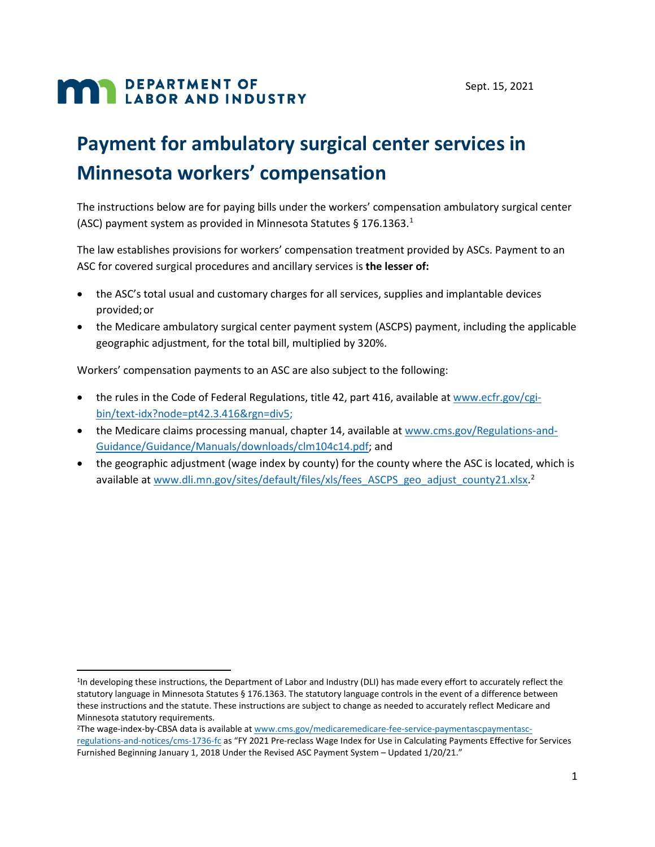# **MAN DEPARTMENT OF LABOR AND INDUSTRY**

# **Payment for ambulatory surgical center services in Minnesota workers' compensation**

The instructions below are for paying bills under the workers' compensation ambulatory surgical center (ASC) payment system as provided in Minnesota Statutes § 176.1363.[1](#page-0-0)

The law establishes provisions for workers' compensation treatment provided by ASCs. Payment to an ASC for covered surgical procedures and ancillary services is **the lesser of:**

- the ASC's total usual and customary charges for all services, supplies and implantable devices provided;or
- the Medicare ambulatory surgical center payment system (ASCPS) payment, including the applicable geographic adjustment, for the total bill, multiplied by 320%.

Workers' compensation payments to an ASC are also subject to the following:

- the rules in the Code of Federal Regulations, title 42, part 416, available at [www.ecfr.gov/cgi](http://www.ecfr.gov/cgi-bin/text-idx?node=pt42.3.416&rgn=div5)[bin/text-idx?node=pt42.3.416&rgn=div5;](http://www.ecfr.gov/cgi-bin/text-idx?node=pt42.3.416&rgn=div5)
- the Medicare claims processing manual, chapter 14, available at [www.cms.gov/Regulations-and-](http://www.cms.gov/Regulations-and-Guidance/Guidance/Manuals/downloads/clm104c14.pdf)[Guidance/Guidance/Manuals/downloads/clm104c14.pdf; a](http://www.cms.gov/Regulations-and-Guidance/Guidance/Manuals/downloads/clm104c14.pdf)nd
- the geographic adjustment (wage index by county) for the county where the ASC is located, which is available at [www.dli.mn.gov/sites/default/files/xls/fees\\_ASCPS\\_geo\\_adjust\\_county21.xlsx.](http://www.dli.mn.gov/sites/default/files/xls/fees_ASCPS_geo_adjust_county21.xlsx)<sup>[2](#page-0-1)</sup>

<span id="page-0-1"></span><sup>2</sup>The wage-index-by-CBSA data is available at [www.cms.gov/medicaremedicare-fee-service-paymentascpaymentasc](http://www.cms.gov/medicaremedicare-fee-service-paymentascpaymentasc-regulations-and-notices/cms-1736-fc)[regulations-and-notices/cms-1736-fc](http://www.cms.gov/medicaremedicare-fee-service-paymentascpaymentasc-regulations-and-notices/cms-1736-fc) as "FY 2021 Pre-reclass Wage Index for Use in Calculating Payments Effective for Services Furnished Beginning January 1, 2018 Under the Revised ASC Payment System – Updated 1/20/21."

<span id="page-0-0"></span><sup>&</sup>lt;sup>1</sup>In developing these instructions, the Department of Labor and Industry (DLI) has made every effort to accurately reflect the statutory language in Minnesota Statutes § 176.1363. The statutory language controls in the event of a difference between these instructions and the statute. These instructions are subject to change as needed to accurately reflect Medicare and Minnesota statutory requirements.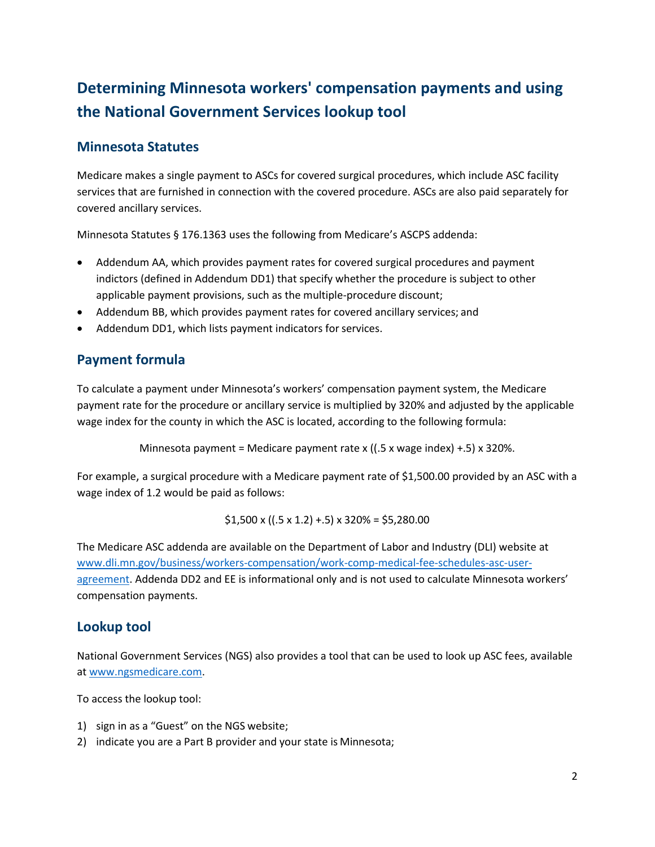# **Determining Minnesota workers' compensation payments and using the National Government Services lookup tool**

#### **Minnesota Statutes**

Medicare makes a single payment to ASCs for covered surgical procedures, which include ASC facility services that are furnished in connection with the covered procedure. ASCs are also paid separately for covered ancillary services.

Minnesota Statutes § 176.1363 uses the following from Medicare's ASCPS addenda:

- Addendum AA, which provides payment rates for covered surgical procedures and payment indictors (defined in Addendum DD1) that specify whether the procedure is subject to other applicable payment provisions, such as the multiple-procedure discount;
- Addendum BB, which provides payment rates for covered ancillary services; and
- Addendum DD1, which lists payment indicators for services.

### **Payment formula**

To calculate a payment under Minnesota's workers' compensation payment system, the Medicare payment rate for the procedure or ancillary service is multiplied by 320% and adjusted by the applicable wage index for the county in which the ASC is located, according to the following formula:

Minnesota payment = Medicare payment rate x ( $(.5 \times \text{wage index}) + .5$ ) x 320%.

For example, a surgical procedure with a Medicare payment rate of \$1,500.00 provided by an ASC with a wage index of 1.2 would be paid as follows:

$$
$1,500 \times ((.5 \times 1.2) + .5) \times 320\% = $5,280.00
$$

The Medicare ASC addenda are available on the Department of Labor and Industry (DLI) website at [www.dli.mn.gov/business/workers-compensation/work-comp-medical-fee-schedules-asc-user](http://www.dli.mn.gov/business/workers-compensation/work-comp-medical-fee-schedules-asc-user-agreement)[agreement.](http://www.dli.mn.gov/business/workers-compensation/work-comp-medical-fee-schedules-asc-user-agreement) Addenda DD2 and EE is informational only and is not used to calculate Minnesota workers' compensation payments.

#### **Lookup tool**

National Government Services (NGS) also provides a tool that can be used to look up ASC fees, available at [www.ngsmedicare.com.](http://www.ngsmedicare.com/)

To access the lookup tool:

- 1) sign in as a "Guest" on the NGS website;
- 2) indicate you are a Part B provider and your state is Minnesota;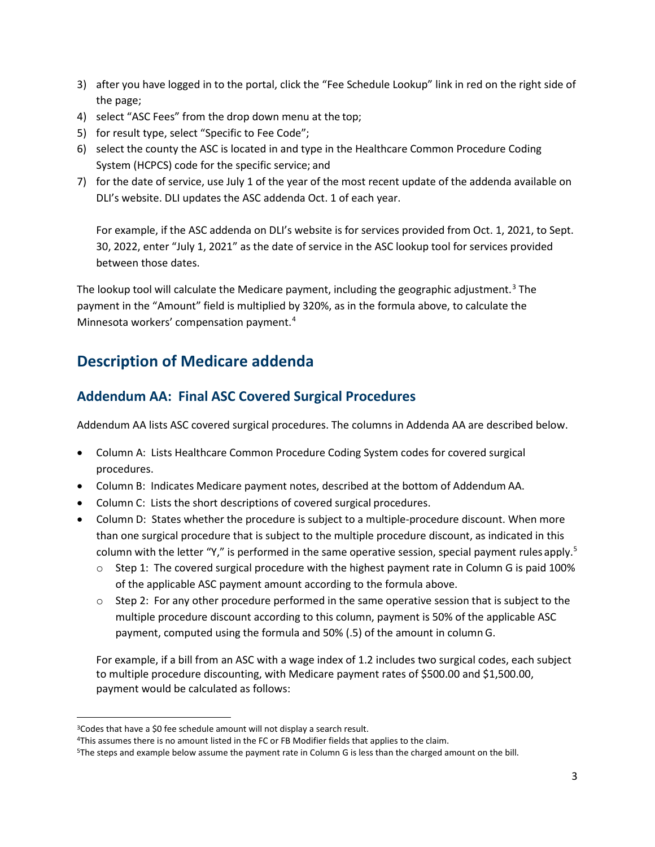- 3) after you have logged in to the portal, click the "Fee Schedule Lookup" link in red on the right side of the page;
- 4) select "ASC Fees" from the drop down menu at the top;
- 5) for result type, select "Specific to Fee Code";
- 6) select the county the ASC is located in and type in the Healthcare Common Procedure Coding System (HCPCS) code for the specific service; and
- 7) for the date of service, use July 1 of the year of the most recent update of the addenda available on DLI's website. DLI updates the ASC addenda Oct. 1 of each year.

For example, if the ASC addenda on DLI's website is for services provided from Oct. 1, 2021, to Sept. 30, 2022, enter "July 1, 2021" as the date of service in the ASC lookup tool for services provided between those dates.

The lookup tool will calculate the Medicare payment, including the geographic adjustment.<sup>[3](#page-2-0)</sup> The payment in the "Amount" field is multiplied by 320%, as in the formula above, to calculate the Minnesota workers' compensation payment. [4](#page-2-1)

# **Description of Medicare addenda**

#### **Addendum AA: Final ASC Covered Surgical Procedures**

Addendum AA lists ASC covered surgical procedures. The columns in Addenda AA are described below.

- Column A: Lists Healthcare Common Procedure Coding System codes for covered surgical procedures.
- Column B: Indicates Medicare payment notes, described at the bottom of Addendum AA.
- Column C: Lists the short descriptions of covered surgical procedures.
- Column D: States whether the procedure is subject to a multiple-procedure discount. When more than one surgical procedure that is subject to the multiple procedure discount, as indicated in this column with the letter "Y," is performed in the same operative session, special payment rules apply.<sup>[5](#page-2-2)</sup>
	- $\circ$  Step 1: The covered surgical procedure with the highest payment rate in Column G is paid 100% of the applicable ASC payment amount according to the formula above.
	- $\circ$  Step 2: For any other procedure performed in the same operative session that is subject to the multiple procedure discount according to this column, payment is 50% of the applicable ASC payment, computed using the formula and 50% (.5) of the amount in column G.

For example, if a bill from an ASC with a wage index of 1.2 includes two surgical codes, each subject to multiple procedure discounting, with Medicare payment rates of \$500.00 and \$1,500.00, payment would be calculated as follows:

<span id="page-2-0"></span><sup>&</sup>lt;sup>3</sup>Codes that have a \$0 fee schedule amount will not display a search result.

<span id="page-2-1"></span><sup>4</sup>This assumes there is no amount listed in the FC or FB Modifier fields that applies to the claim.

<span id="page-2-2"></span><sup>5</sup>The steps and example below assume the payment rate in Column G is less than the charged amount on the bill.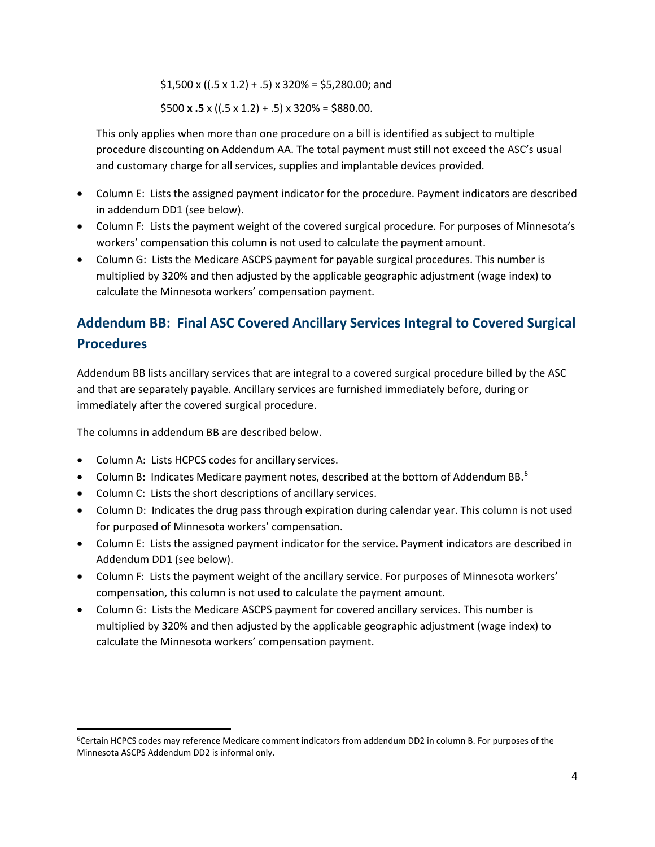$$1,500 \times ((.5 \times 1.2) + .5) \times 320\% = $5,280.00$ ; and

 $$500 x .5 x ((.5 x 1.2) + .5) x 320\% = $880.00.$ 

This only applies when more than one procedure on a bill is identified as subject to multiple procedure discounting on Addendum AA. The total payment must still not exceed the ASC's usual and customary charge for all services, supplies and implantable devices provided.

- Column E: Lists the assigned payment indicator for the procedure. Payment indicators are described in addendum DD1 (see below).
- Column F: Lists the payment weight of the covered surgical procedure. For purposes of Minnesota's workers' compensation this column is not used to calculate the payment amount.
- Column G: Lists the Medicare ASCPS payment for payable surgical procedures. This number is multiplied by 320% and then adjusted by the applicable geographic adjustment (wage index) to calculate the Minnesota workers' compensation payment.

# **Addendum BB: Final ASC Covered Ancillary Services Integral to Covered Surgical Procedures**

Addendum BB lists ancillary services that are integral to a covered surgical procedure billed by the ASC and that are separately payable. Ancillary services are furnished immediately before, during or immediately after the covered surgical procedure.

The columns in addendum BB are described below.

- Column A: Lists HCPCS codes for ancillary services.
- Column B: Indicates Medicare payment notes, described at the bottom of Addendum BB. $^6$  $^6$
- Column C: Lists the short descriptions of ancillary services.
- Column D: Indicates the drug pass through expiration during calendar year. This column is not used for purposed of Minnesota workers' compensation.
- Column E: Lists the assigned payment indicator for the service. Payment indicators are described in Addendum DD1 (see below).
- Column F: Lists the payment weight of the ancillary service. For purposes of Minnesota workers' compensation, this column is not used to calculate the payment amount.
- Column G: Lists the Medicare ASCPS payment for covered ancillary services. This number is multiplied by 320% and then adjusted by the applicable geographic adjustment (wage index) to calculate the Minnesota workers' compensation payment.

<span id="page-3-0"></span><sup>6</sup>Certain HCPCS codes may reference Medicare comment indicators from addendum DD2 in column B. For purposes of the Minnesota ASCPS Addendum DD2 is informal only.